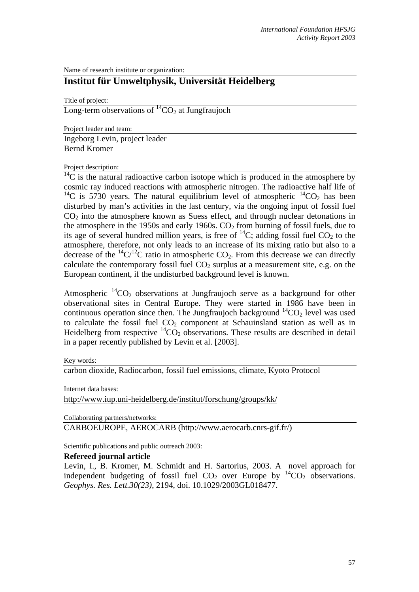Name of research institute or organization:

## **Institut für Umweltphysik, Universität Heidelberg**

Title of project:

Long-term observations of  ${}^{14}CO_2$  at Jungfraujoch

Project leader and team:

Ingeborg Levin, project leader Bernd Kromer

## Project description:

 $\frac{14}{14}$ C is the natural radioactive carbon isotope which is produced in the atmosphere by cosmic ray induced reactions with atmospheric nitrogen. The radioactive half life of <sup>14</sup>C is 5730 years. The natural equilibrium level of atmospheric  $^{14}CO_2$  has been disturbed by man's activities in the last century, via the ongoing input of fossil fuel  $CO<sub>2</sub>$  into the atmosphere known as Suess effect, and through nuclear detonations in the atmosphere in the 1950s and early 1960s.  $CO<sub>2</sub>$  from burning of fossil fuels, due to its age of several hundred million years, is free of  $^{14}C$ ; adding fossil fuel CO<sub>2</sub> to the atmosphere, therefore, not only leads to an increase of its mixing ratio but also to a decrease of the  ${}^{14}C/{}^{12}C$  ratio in atmospheric CO<sub>2</sub>. From this decrease we can directly calculate the contemporary fossil fuel  $CO<sub>2</sub>$  surplus at a measurement site, e.g. on the European continent, if the undisturbed background level is known.

Atmospheric  ${}^{14}CO_2$  observations at Jungfraujoch serve as a background for other observational sites in Central Europe. They were started in 1986 have been in continuous operation since then. The Jungfraujoch background  ${}^{14}CO_2$  level was used to calculate the fossil fuel  $CO<sub>2</sub>$  component at Schauinsland station as well as in Heidelberg from respective  ${}^{14}CO_2$  observations. These results are described in detail in a paper recently published by Levin et al. [2003].

## Key words:

carbon dioxide, Radiocarbon, fossil fuel emissions, climate, Kyoto Protocol

Internet data bases:

[http://www.iup.uni-heidelberg.de/institut/forschung/groups/kk/](http://kspc4.unibe.ch/nm)

Collaborating partners/networks:

CARBOEUROPE, AEROCARB (http://www.aerocarb.cnrs-gif.fr/)

Scientific publications and public outreach 2003:

## **Refereed journal article**

Levin, I., B. Kromer, M. Schmidt and H. Sartorius, 2003. A novel approach for independent budgeting of fossil fuel  $CO<sub>2</sub>$  over Europe by  $^{14}CO<sub>2</sub>$  observations. *Geophys. Res. Lett.30(23)*, 2194, doi. 10.1029/2003GL018477.